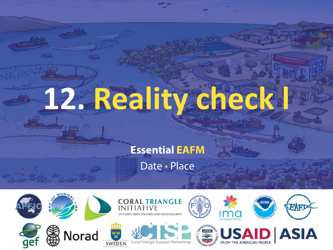# **12. Reality check l**

 $\eta_{\rm min}$ 

#### **Essential EAFM**

Date • Place

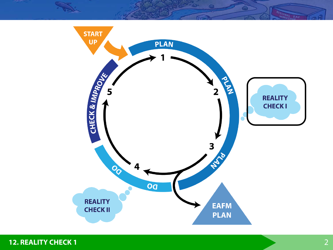

**12. REALITY CHECK 1** 2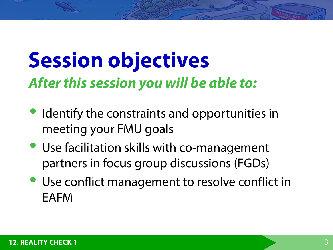### **Session objectives** *After this session you will be able to:*

- Identify the constraints and opportunities in meeting your FMU goals
- Use facilitation skills with co-management partners in focus group discussions (FGDs)
- Use conflict management to resolve conflict in EAFM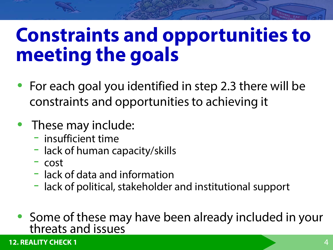### **Constraints and opportunities to meeting the goals**

- For each goal you identified in step 2.3 there will be constraints and opportunities to achieving it
- These may include:
	- insufficient time
	- lack of human capacity/skills
	- $-$  cost
	- lack of data and information
	- lack of political, stakeholder and institutional support
- Some of these may have been already included in your threats and issues

**12. REALITY CHECK 1** 4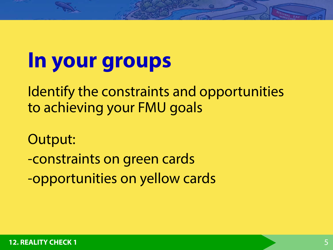### **In your groups**

Identify the constraints and opportunities to achieving your FMU goals

Output:

-constraints on green cards

-opportunities on yellow cards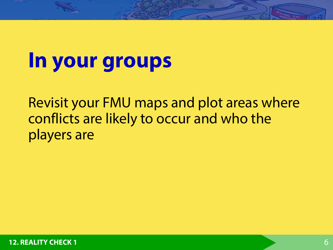### **In your groups**

Revisit your FMU maps and plot areas where conflicts are likely to occur and who the players are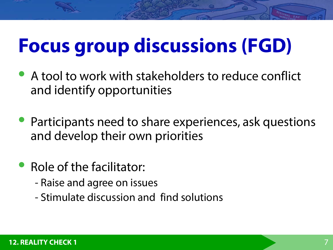### **Focus group discussions (FGD)**

- A tool to work with stakeholders to reduce conflict and identify opportunities
- Participants need to share experiences, ask questions and develop their own priorities
- Role of the facilitator:
	- Raise and agree on issues
	- Stimulate discussion and find solutions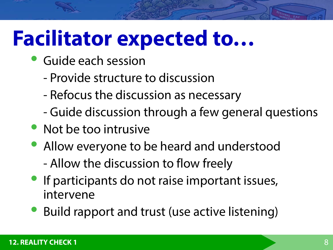### **Facilitator expected to…**

- Guide each session
	- Provide structure to discussion
	- Refocus the discussion as necessary
	- Guide discussion through a few general questions
- Not be too intrusive
- Allow everyone to be heard and understood - Allow the discussion to flow freely
- **If participants do not raise important issues,** intervene
- Build rapport and trust (use active listening)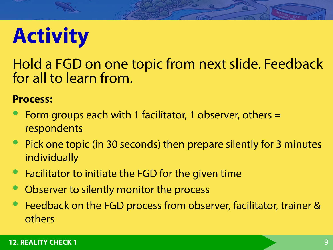### **Activity**

Hold a FGD on one topic from next slide. Feedback for all to learn from.

#### **Process:**

- Form groups each with 1 facilitator, 1 observer, others = respondents
- Pick one topic (in 30 seconds) then prepare silently for 3 minutes individually
- Facilitator to initiate the FGD for the given time
- Observer to silently monitor the process
- Feedback on the FGD process from observer, facilitator, trainer & others

#### **12. REALITY CHECK 1** 9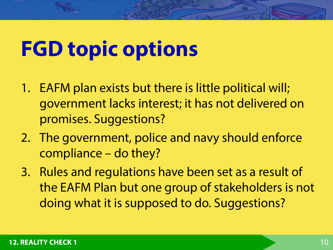## **FGD topic options**

- 1. EAFM plan exists but there is little political will; government lacks interest; it has not delivered on promises. Suggestions?
- 2. The government, police and navy should enforce compliance – do they?
- 3. Rules and regulations have been set as a result of the EAFM Plan but one group of stakeholders is not doing what it is supposed to do. Suggestions?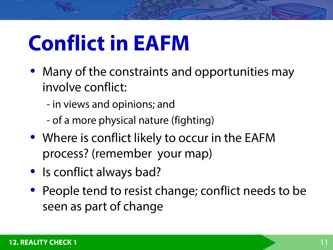## **Conflict in EAFM**

- Many of the constraints and opportunities may involve conflict:
	- in views and opinions; and
	- of a more physical nature (fighting)
- Where is conflict likely to occur in the EAFM process? (remember your map)
- Is conflict always bad?
- People tend to resist change; conflict needs to be seen as part of change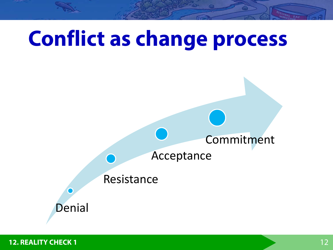

**12. REALITY CHECK 1 12. POINT 12. POINT 12. POINT 12. POINT 12. 12. 12. 12. 12. 12. 12. 12. 12. 12. 12. 12. 12. 12. 12. 12. 12. 12. 12. 12. 12. 12. 12. 12. 12. 12. 12.**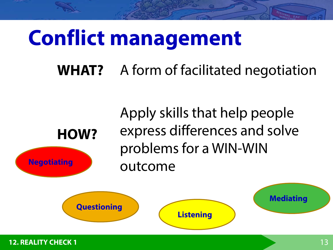### **Conflict management**

**WHAT?**  A form of facilitated negotiation



Apply skills that help people express differences and solve problems for a WIN-WIN outcome

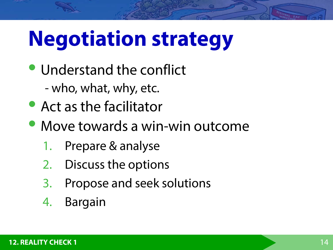## **Negotiation strategy**

- Understand the conflict
	- who, what, why, etc.
- Act as the facilitator
- Move towards a win-win outcome
	- 1. Prepare & analyse
	- 2. Discuss the options
	- 3. Propose and seek solutions
	- 4. Bargain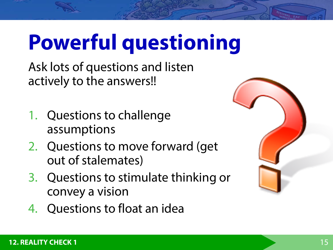## **Powerful questioning**

Ask lots of questions and listen actively to the answers!!

- 1. Questions to challenge assumptions
- 2. Questions to move forward (get out of stalemates)
- 3. Questions to stimulate thinking or convey a vision
- 4. Questions to float an idea

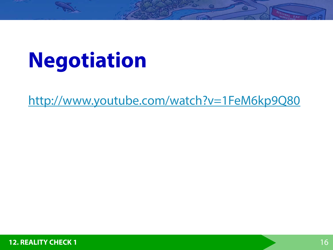## **Negotiation**

<http://www.youtube.com/watch?v=1FeM6kp9Q80>

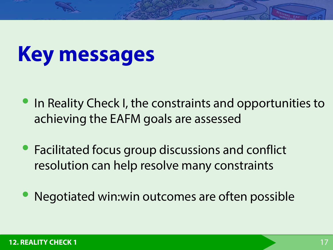### **Key messages**

- In Reality Check I, the constraints and opportunities to achieving the EAFM goals are assessed
- Facilitated focus group discussions and conflict resolution can help resolve many constraints
- Negotiated win:win outcomes are often possible